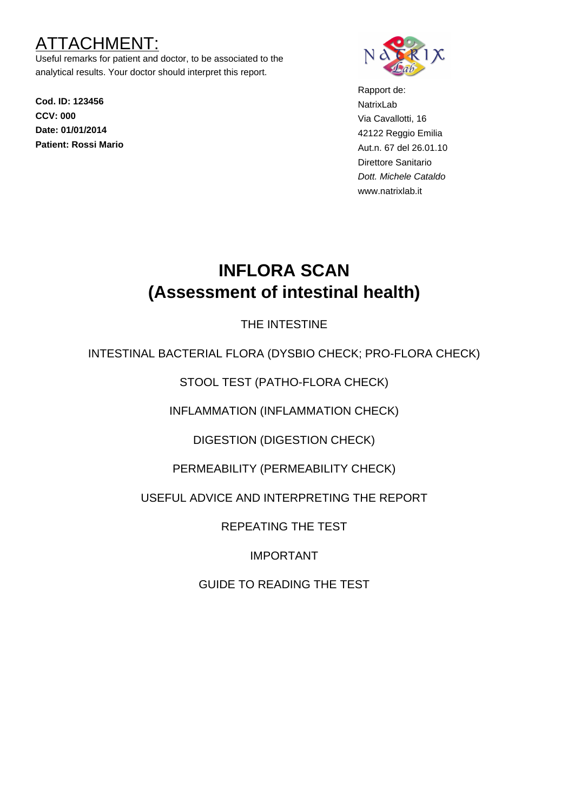# TACHMEN

Useful remarks for patient and doctor, to be associated to the analytical results. Your doctor should interpret this report.

**Cod. ID: 123456 CCV: 000 Date: 01/01/2014 Patient: Rossi Mario**



Rapport de: NatrixLab Via Cavallotti, 16 42122 Reggio Emilia Aut.n. 67 del 26.01.10 Direttore Sanitario Dott. Michele Cataldo www.natrixlab.it

# **INFLORA SCAN (Assessment of intestinal health)**

## THE INTESTINE

INTESTINAL BACTERIAL FLORA (DYSBIO CHECK; PRO-FLORA CHECK)

STOOL TEST (PATHO-FLORA CHECK)

INFLAMMATION (INFLAMMATION CHECK)

DIGESTION (DIGESTION CHECK)

PERMEABILITY (PERMEABILITY CHECK)

USEFUL ADVICE AND INTERPRETING THE REPORT

REPEATING THE TEST

IMPORTANT

GUIDE TO READING THE TEST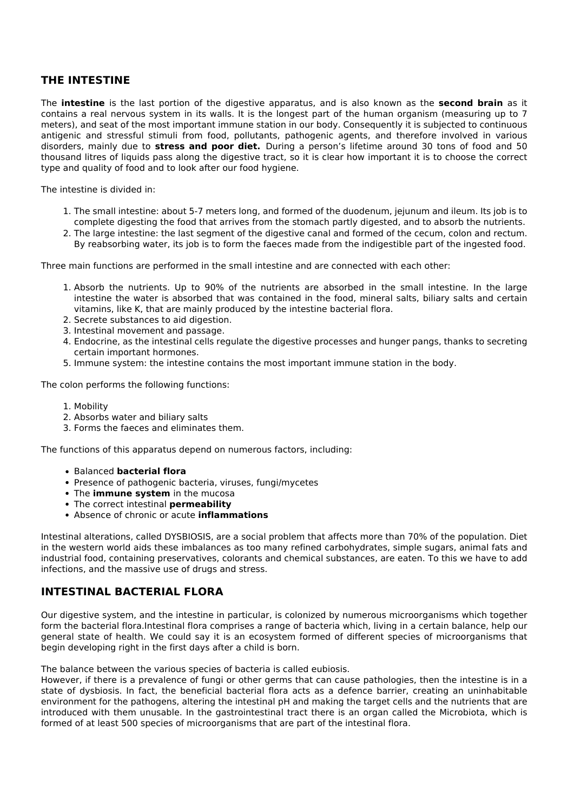## **THE INTESTINE**

The **intestine** is the last portion of the digestive apparatus, and is also known as the **second brain** as it contains a real nervous system in its walls. It is the longest part of the human organism (measuring up to 7 meters), and seat of the most important immune station in our body. Consequently it is subjected to continuous antigenic and stressful stimuli from food, pollutants, pathogenic agents, and therefore involved in various disorders, mainly due to **stress and poor diet.** During a person's lifetime around 30 tons of food and 50 thousand litres of liquids pass along the digestive tract, so it is clear how important it is to choose the correct type and quality of food and to look after our food hygiene.

The intestine is divided in:

- 1. The small intestine: about 5-7 meters long, and formed of the duodenum, jejunum and ileum. Its job is to complete digesting the food that arrives from the stomach partly digested, and to absorb the nutrients.
- 2. The large intestine: the last segment of the digestive canal and formed of the cecum, colon and rectum. By reabsorbing water, its job is to form the faeces made from the indigestible part of the ingested food.

Three main functions are performed in the small intestine and are connected with each other:

- 1. Absorb the nutrients. Up to 90% of the nutrients are absorbed in the small intestine. In the large intestine the water is absorbed that was contained in the food, mineral salts, biliary salts and certain vitamins, like K, that are mainly produced by the intestine bacterial flora.
- 2. Secrete substances to aid digestion.
- 3. Intestinal movement and passage.
- 4. Endocrine, as the intestinal cells regulate the digestive processes and hunger pangs, thanks to secreting certain important hormones.
- 5. Immune system: the intestine contains the most important immune station in the body.

The colon performs the following functions:

- 1. Mobility
- 2. Absorbs water and biliary salts
- 3. Forms the faeces and eliminates them.

The functions of this apparatus depend on numerous factors, including:

- Balanced **bacterial flora**
- Presence of pathogenic bacteria, viruses, fungi/mycetes
- The **immune system** in the mucosa
- The correct intestinal **permeability**
- Absence of chronic or acute **inflammations**

Intestinal alterations, called DYSBIOSIS, are a social problem that affects more than 70% of the population. Diet in the western world aids these imbalances as too many refined carbohydrates, simple sugars, animal fats and industrial food, containing preservatives, colorants and chemical substances, are eaten. To this we have to add infections, and the massive use of drugs and stress.

#### **INTESTINAL BACTERIAL FLORA**

Our digestive system, and the intestine in particular, is colonized by numerous microorganisms which together form the bacterial flora.Intestinal flora comprises a range of bacteria which, living in a certain balance, help our general state of health. We could say it is an ecosystem formed of different species of microorganisms that begin developing right in the first days after a child is born.

The balance between the various species of bacteria is called eubiosis.

However, if there is a prevalence of fungi or other germs that can cause pathologies, then the intestine is in a state of dysbiosis. In fact, the beneficial bacterial flora acts as a defence barrier, creating an uninhabitable environment for the pathogens, altering the intestinal pH and making the target cells and the nutrients that are introduced with them unusable. In the gastrointestinal tract there is an organ called the Microbiota, which is formed of at least 500 species of microorganisms that are part of the intestinal flora.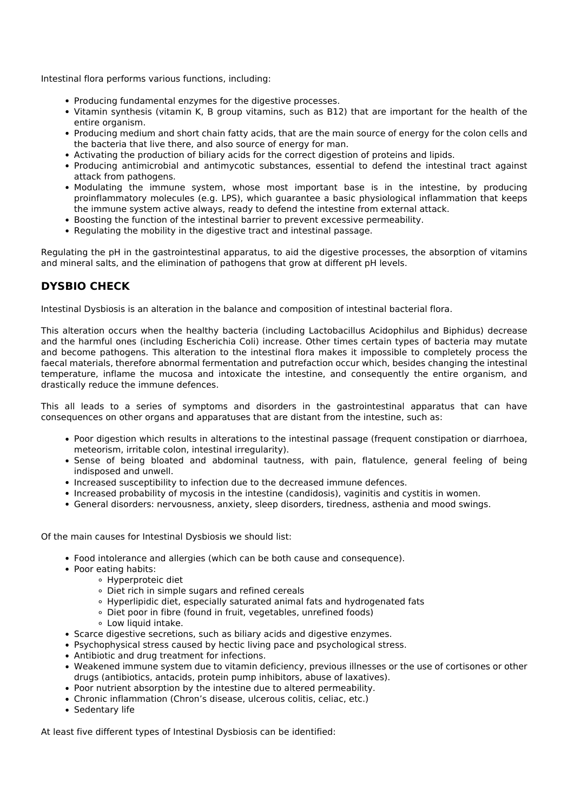Intestinal flora performs various functions, including:

- Producing fundamental enzymes for the digestive processes.
- Vitamin synthesis (vitamin K, B group vitamins, such as B12) that are important for the health of the entire organism.
- Producing medium and short chain fatty acids, that are the main source of energy for the colon cells and the bacteria that live there, and also source of energy for man.
- Activating the production of biliary acids for the correct digestion of proteins and lipids.
- Producing antimicrobial and antimycotic substances, essential to defend the intestinal tract against attack from pathogens.
- Modulating the immune system, whose most important base is in the intestine, by producing proinflammatory molecules (e.g. LPS), which guarantee a basic physiological inflammation that keeps the immune system active always, ready to defend the intestine from external attack.
- Boosting the function of the intestinal barrier to prevent excessive permeability.
- Regulating the mobility in the digestive tract and intestinal passage.

Regulating the pH in the gastrointestinal apparatus, to aid the digestive processes, the absorption of vitamins and mineral salts, and the elimination of pathogens that grow at different pH levels.

## **DYSBIO CHECK**

Intestinal Dysbiosis is an alteration in the balance and composition of intestinal bacterial flora.

This alteration occurs when the healthy bacteria (including Lactobacillus Acidophilus and Biphidus) decrease and the harmful ones (including Escherichia Coli) increase. Other times certain types of bacteria may mutate and become pathogens. This alteration to the intestinal flora makes it impossible to completely process the faecal materials, therefore abnormal fermentation and putrefaction occur which, besides changing the intestinal temperature, inflame the mucosa and intoxicate the intestine, and consequently the entire organism, and drastically reduce the immune defences.

This all leads to a series of symptoms and disorders in the gastrointestinal apparatus that can have consequences on other organs and apparatuses that are distant from the intestine, such as:

- Poor digestion which results in alterations to the intestinal passage (frequent constipation or diarrhoea, meteorism, irritable colon, intestinal irregularity).
- Sense of being bloated and abdominal tautness, with pain, flatulence, general feeling of being indisposed and unwell.
- Increased susceptibility to infection due to the decreased immune defences.
- Increased probability of mycosis in the intestine (candidosis), vaginitis and cystitis in women.
- General disorders: nervousness, anxiety, sleep disorders, tiredness, asthenia and mood swings.

Of the main causes for Intestinal Dysbiosis we should list:

- Food intolerance and allergies (which can be both cause and consequence).
- Poor eating habits:
	- Hyperproteic diet
	- Diet rich in simple sugars and refined cereals
	- Hyperlipidic diet, especially saturated animal fats and hydrogenated fats
	- Diet poor in fibre (found in fruit, vegetables, unrefined foods)
	- Low liquid intake.
- Scarce digestive secretions, such as biliary acids and digestive enzymes.
- Psychophysical stress caused by hectic living pace and psychological stress.
- Antibiotic and drug treatment for infections.
- Weakened immune system due to vitamin deficiency, previous illnesses or the use of cortisones or other drugs (antibiotics, antacids, protein pump inhibitors, abuse of laxatives).
- Poor nutrient absorption by the intestine due to altered permeability.
- Chronic inflammation (Chron's disease, ulcerous colitis, celiac, etc.)
- Sedentary life

At least five different types of Intestinal Dysbiosis can be identified: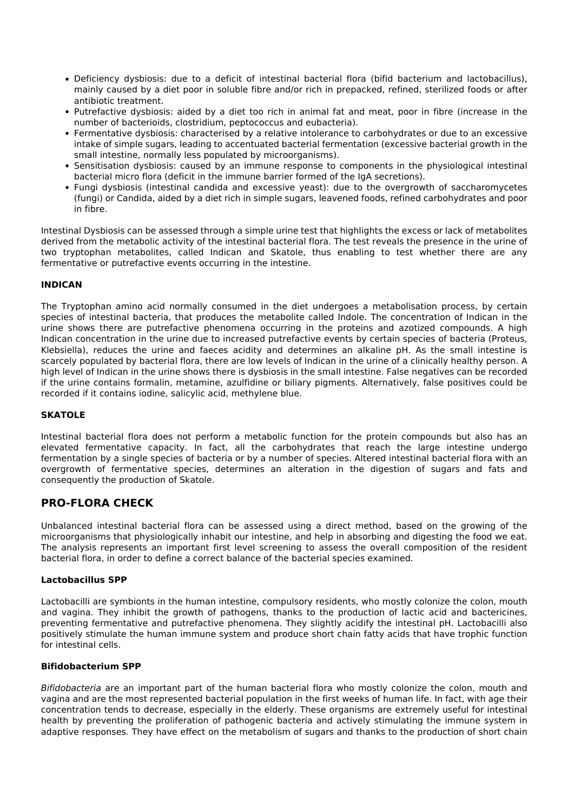- Deficiency dysbiosis: due to a deficit of intestinal bacterial flora (bifid bacterium and lactobacillus), mainly caused by a diet poor in soluble fibre and/or rich in prepacked, refined, sterilized foods or after antibiotic treatment.
- Putrefactive dysbiosis: aided by a diet too rich in animal fat and meat, poor in fibre (increase in the number of bacterioids, clostridium, peptococcus and eubacteria).
- Fermentative dysbiosis: characterised by a relative intolerance to carbohydrates or due to an excessive intake of simple sugars, leading to accentuated bacterial fermentation (excessive bacterial growth in the small intestine, normally less populated by microorganisms).
- Sensitisation dysbiosis: caused by an immune response to components in the physiological intestinal bacterial micro flora (deficit in the immune barrier formed of the IgA secretions).
- Fungi dysbiosis (intestinal candida and excessive yeast): due to the overgrowth of saccharomycetes (fungi) or Candida, aided by a diet rich in simple sugars, leavened foods, refined carbohydrates and poor in fibre.

Intestinal Dysbiosis can be assessed through a simple urine test that highlights the excess or lack of metabolites derived from the metabolic activity of the intestinal bacterial flora. The test reveals the presence in the urine of two tryptophan metabolites, called Indican and Skatole, thus enabling to test whether there are any fermentative or putrefactive events occurring in the intestine.

#### **INDICAN**

The Tryptophan amino acid normally consumed in the diet undergoes a metabolisation process, by certain species of intestinal bacteria, that produces the metabolite called Indole. The concentration of Indican in the urine shows there are putrefactive phenomena occurring in the proteins and azotized compounds. A high Indican concentration in the urine due to increased putrefactive events by certain species of bacteria (Proteus, Klebsiella), reduces the urine and faeces acidity and determines an alkaline pH. As the small intestine is scarcely populated by bacterial flora, there are low levels of Indican in the urine of a clinically healthy person. A high level of Indican in the urine shows there is dysbiosis in the small intestine. False negatives can be recorded if the urine contains formalin, metamine, azulfidine or biliary pigments. Alternatively, false positives could be recorded if it contains iodine, salicylic acid, methylene blue.

#### **SKATOLE**

Intestinal bacterial flora does not perform a metabolic function for the protein compounds but also has an elevated fermentative capacity. In fact, all the carbohydrates that reach the large intestine undergo fermentation by a single species of bacteria or by a number of species. Altered intestinal bacterial flora with an overgrowth of fermentative species, determines an alteration in the digestion of sugars and fats and consequently the production of Skatole.

## **PRO-FLORA CHECK**

Unbalanced intestinal bacterial flora can be assessed using a direct method, based on the growing of the microorganisms that physiologically inhabit our intestine, and help in absorbing and digesting the food we eat. The analysis represents an important first level screening to assess the overall composition of the resident bacterial flora, in order to define a correct balance of the bacterial species examined.

#### **Lactobacillus SPP**

Lactobacilli are symbionts in the human intestine, compulsory residents, who mostly colonize the colon, mouth and vagina. They inhibit the growth of pathogens, thanks to the production of lactic acid and bactericines, preventing fermentative and putrefactive phenomena. They slightly acidify the intestinal pH. Lactobacilli also positively stimulate the human immune system and produce short chain fatty acids that have trophic function for intestinal cells.

#### **Bifidobacterium SPP**

*Bifidobacteria* are an important part of the human bacterial flora who mostly colonize the colon, mouth and vagina and are the most represented bacterial population in the first weeks of human life. In fact, with age their concentration tends to decrease, especially in the elderly. These organisms are extremely useful for intestinal health by preventing the proliferation of pathogenic bacteria and actively stimulating the immune system in adaptive responses. They have effect on the metabolism of sugars and thanks to the production of short chain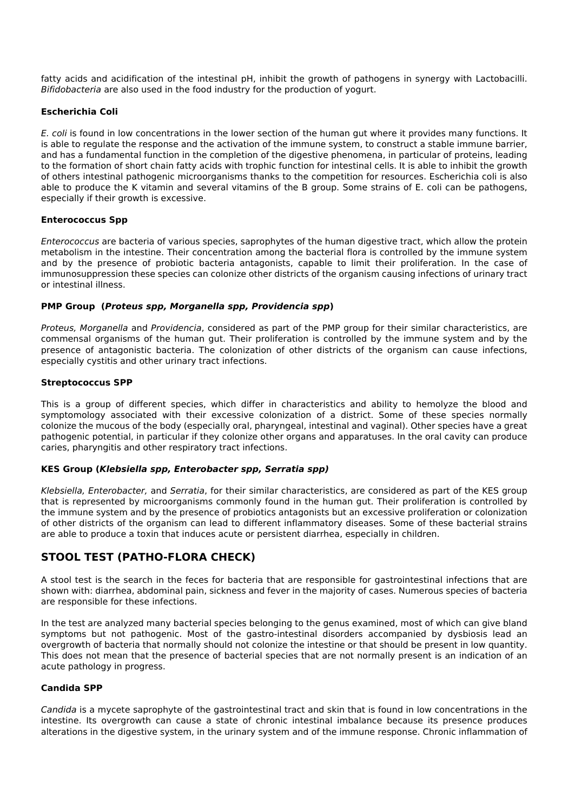fatty acids and acidification of the intestinal pH, inhibit the growth of pathogens in synergy with Lactobacilli. *Bifidobacteria* are also used in the food industry for the production of yogurt.

#### **Escherichia Coli**

*E. coli* is found in low concentrations in the lower section of the human gut where it provides many functions. It is able to regulate the response and the activation of the immune system, to construct a stable immune barrier, and has a fundamental function in the completion of the digestive phenomena, in particular of proteins, leading to the formation of short chain fatty acids with trophic function for intestinal cells. It is able to inhibit the growth of others intestinal pathogenic microorganisms thanks to the competition for resources. Escherichia coli is also able to produce the K vitamin and several vitamins of the B group. Some strains of E. coli can be pathogens, especially if their growth is excessive.

#### **Enterococcus Spp**

*Enterococcus* are bacteria of various species, saprophytes of the human digestive tract, which allow the protein metabolism in the intestine. Their concentration among the bacterial flora is controlled by the immune system and by the presence of probiotic bacteria antagonists, capable to limit their proliferation. In the case of immunosuppression these species can colonize other districts of the organism causing infections of urinary tract or intestinal illness.

#### **PMP Group (***Proteus spp, Morganella spp, Providencia spp***)**

*Proteus, Morganella* and *Providencia*, considered as part of the PMP group for their similar characteristics, are commensal organisms of the human gut. Their proliferation is controlled by the immune system and by the presence of antagonistic bacteria. The colonization of other districts of the organism can cause infections, especially cystitis and other urinary tract infections.

#### **Streptococcus SPP**

This is a group of different species, which differ in characteristics and ability to hemolyze the blood and symptomology associated with their excessive colonization of a district. Some of these species normally colonize the mucous of the body (especially oral, pharyngeal, intestinal and vaginal). Other species have a great pathogenic potential, in particular if they colonize other organs and apparatuses. In the oral cavity can produce caries, pharyngitis and other respiratory tract infections.

#### **KES Group (***Klebsiella spp, Enterobacter spp, Serratia spp)*

*Klebsiella, Enterobacter,* and *Serratia*, for their similar characteristics, are considered as part of the KES group that is represented by microorganisms commonly found in the human gut. Their proliferation is controlled by the immune system and by the presence of probiotics antagonists but an excessive proliferation or colonization of other districts of the organism can lead to different inflammatory diseases. Some of these bacterial strains are able to produce a toxin that induces acute or persistent diarrhea, especially in children.

## **STOOL TEST (PATHO-FLORA CHECK)**

A stool test is the search in the feces for bacteria that are responsible for gastrointestinal infections that are shown with: diarrhea, abdominal pain, sickness and fever in the majority of cases. Numerous species of bacteria are responsible for these infections.

In the test are analyzed many bacterial species belonging to the genus examined, most of which can give bland symptoms but not pathogenic. Most of the gastro-intestinal disorders accompanied by dysbiosis lead an overgrowth of bacteria that normally should not colonize the intestine or that should be present in low quantity. This does not mean that the presence of bacterial species that are not normally present is an indication of an acute pathology in progress.

#### **Candida SPP**

*Candida* is a mycete saprophyte of the gastrointestinal tract and skin that is found in low concentrations in the intestine. Its overgrowth can cause a state of chronic intestinal imbalance because its presence produces alterations in the digestive system, in the urinary system and of the immune response. Chronic inflammation of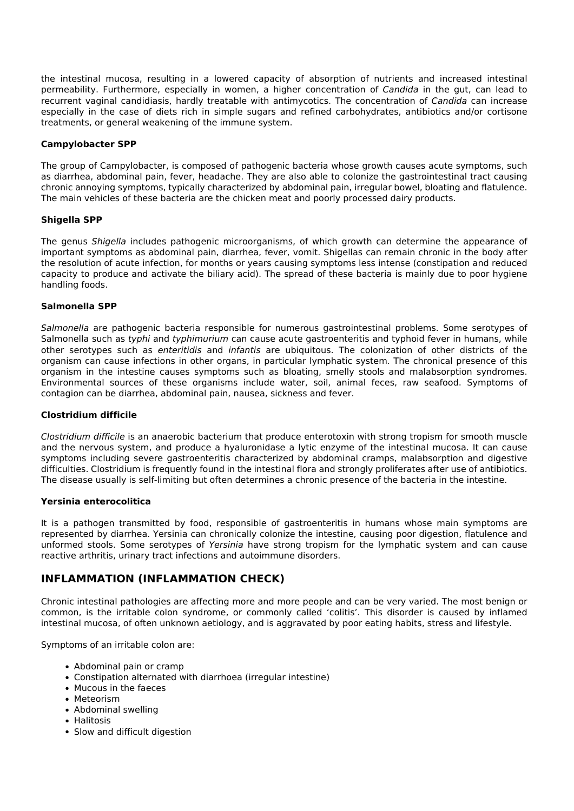the intestinal mucosa, resulting in a lowered capacity of absorption of nutrients and increased intestinal permeability. Furthermore, especially in women, a higher concentration of *Candida* in the gut, can lead to recurrent vaginal candidiasis, hardly treatable with antimycotics. The concentration of *Candida* can increase especially in the case of diets rich in simple sugars and refined carbohydrates, antibiotics and/or cortisone treatments, or general weakening of the immune system.

#### **Campylobacter SPP**

The group of Campylobacter, is composed of pathogenic bacteria whose growth causes acute symptoms, such as diarrhea, abdominal pain, fever, headache. They are also able to colonize the gastrointestinal tract causing chronic annoying symptoms, typically characterized by abdominal pain, irregular bowel, bloating and flatulence. The main vehicles of these bacteria are the chicken meat and poorly processed dairy products.

#### **Shigella SPP**

The genus *Shigella* includes pathogenic microorganisms, of which growth can determine the appearance of important symptoms as abdominal pain, diarrhea, fever, vomit. Shigellas can remain chronic in the body after the resolution of acute infection, for months or years causing symptoms less intense (constipation and reduced capacity to produce and activate the biliary acid). The spread of these bacteria is mainly due to poor hygiene handling foods.

#### **Salmonella SPP**

*Salmonella* are pathogenic bacteria responsible for numerous gastrointestinal problems. Some serotypes of Salmonella such as *typhi* and *typhimurium* can cause acute gastroenteritis and typhoid fever in humans, while other serotypes such as *enteritidis* and *infantis* are ubiquitous. The colonization of other districts of the organism can cause infections in other organs, in particular lymphatic system. The chronical presence of this organism in the intestine causes symptoms such as bloating, smelly stools and malabsorption syndromes. Environmental sources of these organisms include water, soil, animal feces, raw seafood. Symptoms of contagion can be diarrhea, abdominal pain, nausea, sickness and fever.

#### **Clostridium difficile**

*Clostridium difficile* is an anaerobic bacterium that produce enterotoxin with strong tropism for smooth muscle and the nervous system, and produce a hyaluronidase a lytic enzyme of the intestinal mucosa. It can cause symptoms including severe gastroenteritis characterized by abdominal cramps, malabsorption and digestive difficulties. Clostridium is frequently found in the intestinal flora and strongly proliferates after use of antibiotics. The disease usually is self-limiting but often determines a chronic presence of the bacteria in the intestine.

#### **Yersinia enterocolitica**

It is a pathogen transmitted by food, responsible of gastroenteritis in humans whose main symptoms are represented by diarrhea. Yersinia can chronically colonize the intestine, causing poor digestion, flatulence and unformed stools. Some serotypes of *Yersinia* have strong tropism for the lymphatic system and can cause reactive arthritis, urinary tract infections and autoimmune disorders.

## **INFLAMMATION (INFLAMMATION CHECK)**

Chronic intestinal pathologies are affecting more and more people and can be very varied. The most benign or common, is the irritable colon syndrome, or commonly called 'colitis'. This disorder is caused by inflamed intestinal mucosa, of often unknown aetiology, and is aggravated by poor eating habits, stress and lifestyle.

Symptoms of an irritable colon are:

- Abdominal pain or cramp
- Constipation alternated with diarrhoea (irregular intestine)
- Mucous in the faeces
- Meteorism
- Abdominal swelling
- Halitosis
- Slow and difficult digestion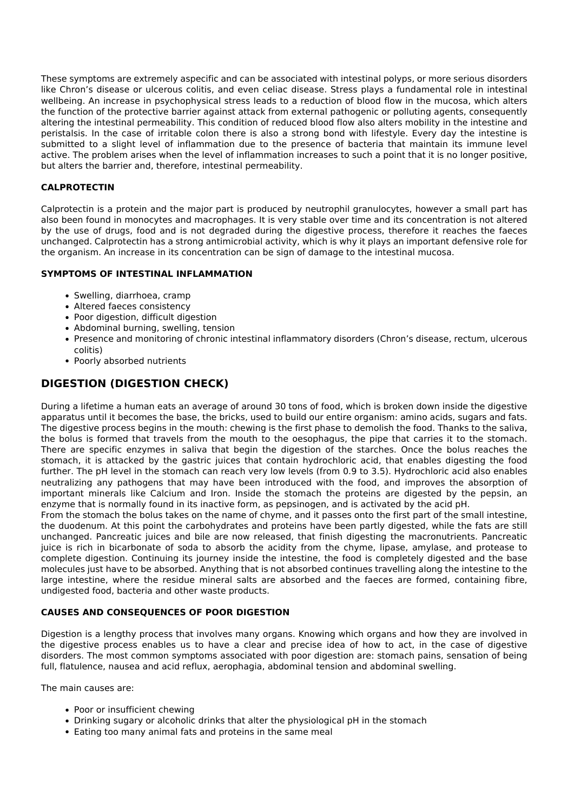These symptoms are extremely aspecific and can be associated with intestinal polyps, or more serious disorders like Chron's disease or ulcerous colitis, and even celiac disease. Stress plays a fundamental role in intestinal wellbeing. An increase in psychophysical stress leads to a reduction of blood flow in the mucosa, which alters the function of the protective barrier against attack from external pathogenic or polluting agents, consequently altering the intestinal permeability. This condition of reduced blood flow also alters mobility in the intestine and peristalsis. In the case of irritable colon there is also a strong bond with lifestyle. Every day the intestine is submitted to a slight level of inflammation due to the presence of bacteria that maintain its immune level active. The problem arises when the level of inflammation increases to such a point that it is no longer positive, but alters the barrier and, therefore, intestinal permeability.

#### **CALPROTECTIN**

Calprotectin is a protein and the major part is produced by neutrophil granulocytes, however a small part has also been found in monocytes and macrophages. It is very stable over time and its concentration is not altered by the use of drugs, food and is not degraded during the digestive process, therefore it reaches the faeces unchanged. Calprotectin has a strong antimicrobial activity, which is why it plays an important defensive role for the organism. An increase in its concentration can be sign of damage to the intestinal mucosa.

#### **SYMPTOMS OF INTESTINAL INFLAMMATION**

- Swelling, diarrhoea, cramp
- Altered faeces consistency
- Poor digestion, difficult digestion
- Abdominal burning, swelling, tension
- Presence and monitoring of chronic intestinal inflammatory disorders (Chron's disease, rectum, ulcerous colitis)
- Poorly absorbed nutrients

## **DIGESTION (DIGESTION CHECK)**

During a lifetime a human eats an average of around 30 tons of food, which is broken down inside the digestive apparatus until it becomes the base, the bricks, used to build our entire organism: amino acids, sugars and fats. The digestive process begins in the mouth: chewing is the first phase to demolish the food. Thanks to the saliva, the bolus is formed that travels from the mouth to the oesophagus, the pipe that carries it to the stomach. There are specific enzymes in saliva that begin the digestion of the starches. Once the bolus reaches the stomach, it is attacked by the gastric juices that contain hydrochloric acid, that enables digesting the food further. The pH level in the stomach can reach very low levels (from 0.9 to 3.5). Hydrochloric acid also enables neutralizing any pathogens that may have been introduced with the food, and improves the absorption of important minerals like Calcium and Iron. Inside the stomach the proteins are digested by the pepsin, an enzyme that is normally found in its inactive form, as pepsinogen, and is activated by the acid pH.

From the stomach the bolus takes on the name of chyme, and it passes onto the first part of the small intestine, the duodenum. At this point the carbohydrates and proteins have been partly digested, while the fats are still unchanged. Pancreatic juices and bile are now released, that finish digesting the macronutrients. Pancreatic juice is rich in bicarbonate of soda to absorb the acidity from the chyme, lipase, amylase, and protease to complete digestion. Continuing its journey inside the intestine, the food is completely digested and the base molecules just have to be absorbed. Anything that is not absorbed continues travelling along the intestine to the large intestine, where the residue mineral salts are absorbed and the faeces are formed, containing fibre, undigested food, bacteria and other waste products.

#### **CAUSES AND CONSEQUENCES OF POOR DIGESTION**

Digestion is a lengthy process that involves many organs. Knowing which organs and how they are involved in the digestive process enables us to have a clear and precise idea of how to act, in the case of digestive disorders. The most common symptoms associated with poor digestion are: stomach pains, sensation of being full, flatulence, nausea and acid reflux, aerophagia, abdominal tension and abdominal swelling.

The main causes are:

- Poor or insufficient chewing
- Drinking sugary or alcoholic drinks that alter the physiological pH in the stomach
- Eating too many animal fats and proteins in the same meal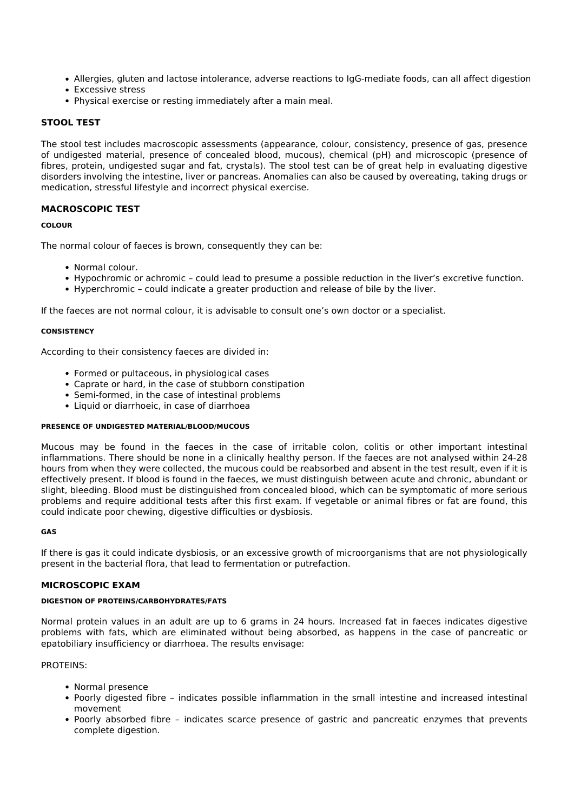- Allergies, gluten and lactose intolerance, adverse reactions to IgG-mediate foods, can all affect digestion
- Excessive stress
- Physical exercise or resting immediately after a main meal.

#### **STOOL TEST**

The stool test includes macroscopic assessments (appearance, colour, consistency, presence of gas, presence of undigested material, presence of concealed blood, mucous), chemical (pH) and microscopic (presence of fibres, protein, undigested sugar and fat, crystals). The stool test can be of great help in evaluating digestive disorders involving the intestine, liver or pancreas. Anomalies can also be caused by overeating, taking drugs or medication, stressful lifestyle and incorrect physical exercise.

#### **MACROSCOPIC TEST**

#### **COLOUR**

The normal colour of faeces is brown, consequently they can be:

- Normal colour.
- Hypochromic or achromic could lead to presume a possible reduction in the liver's excretive function.
- Hyperchromic could indicate a greater production and release of bile by the liver.

If the faeces are not normal colour, it is advisable to consult one's own doctor or a specialist.

#### **CONSISTENCY**

According to their consistency faeces are divided in:

- Formed or pultaceous, in physiological cases
- Caprate or hard, in the case of stubborn constipation
- Semi-formed, in the case of intestinal problems
- Liquid or diarrhoeic, in case of diarrhoea

#### **PRESENCE OF UNDIGESTED MATERIAL/BLOOD/MUCOUS**

Mucous may be found in the faeces in the case of irritable colon, colitis or other important intestinal inflammations. There should be none in a clinically healthy person. If the faeces are not analysed within 24-28 hours from when they were collected, the mucous could be reabsorbed and absent in the test result, even if it is effectively present. If blood is found in the faeces, we must distinguish between acute and chronic, abundant or slight, bleeding. Blood must be distinguished from concealed blood, which can be symptomatic of more serious problems and require additional tests after this first exam. If vegetable or animal fibres or fat are found, this could indicate poor chewing, digestive difficulties or dysbiosis.

#### **GAS**

If there is gas it could indicate dysbiosis, or an excessive growth of microorganisms that are not physiologically present in the bacterial flora, that lead to fermentation or putrefaction.

#### **MICROSCOPIC EXAM**

#### **DIGESTION OF PROTEINS/CARBOHYDRATES/FATS**

Normal protein values in an adult are up to 6 grams in 24 hours. Increased fat in faeces indicates digestive problems with fats, which are eliminated without being absorbed, as happens in the case of pancreatic or epatobiliary insufficiency or diarrhoea. The results envisage:

#### PROTEINS:

- Normal presence
- Poorly digested fibre indicates possible inflammation in the small intestine and increased intestinal movement
- Poorly absorbed fibre indicates scarce presence of gastric and pancreatic enzymes that prevents complete digestion.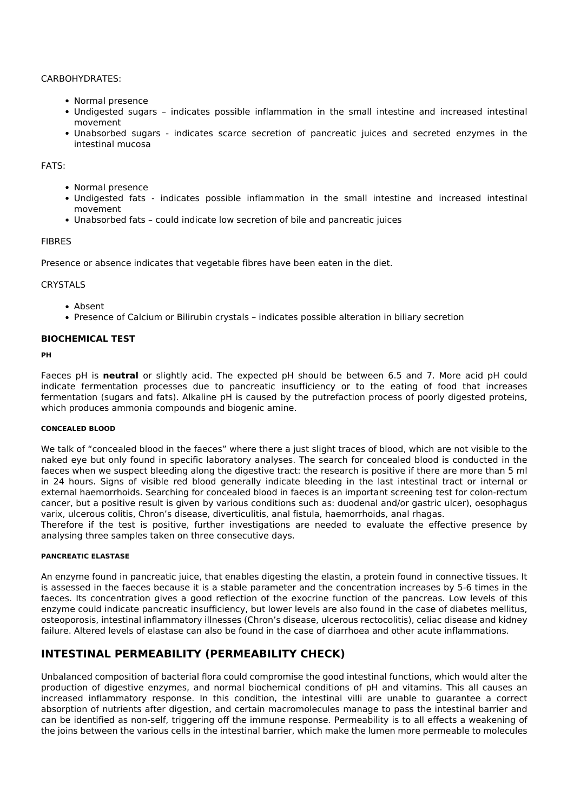#### CARBOHYDRATES:

- Normal presence
- Undigested sugars indicates possible inflammation in the small intestine and increased intestinal movement
- Unabsorbed sugars indicates scarce secretion of pancreatic juices and secreted enzymes in the intestinal mucosa

#### FATS:

- Normal presence
- Undigested fats indicates possible inflammation in the small intestine and increased intestinal movement
- Unabsorbed fats could indicate low secretion of bile and pancreatic juices

#### **FIBRES**

Presence or absence indicates that vegetable fibres have been eaten in the diet.

#### **CRYSTALS**

- Absent
- Presence of Calcium or Bilirubin crystals indicates possible alteration in biliary secretion

#### **BIOCHEMICAL TEST**

#### **PH**

Faeces pH is **neutral** or slightly acid. The expected pH should be between 6.5 and 7. More acid pH could indicate fermentation processes due to pancreatic insufficiency or to the eating of food that increases fermentation (sugars and fats). Alkaline pH is caused by the putrefaction process of poorly digested proteins, which produces ammonia compounds and biogenic amine.

#### **CONCEALED BLOOD**

We talk of "concealed blood in the faeces" where there a just slight traces of blood, which are not visible to the naked eye but only found in specific laboratory analyses. The search for concealed blood is conducted in the faeces when we suspect bleeding along the digestive tract: the research is positive if there are more than 5 ml in 24 hours. Signs of visible red blood generally indicate bleeding in the last intestinal tract or internal or external haemorrhoids. Searching for concealed blood in faeces is an important screening test for colon-rectum cancer, but a positive result is given by various conditions such as: duodenal and/or gastric ulcer), oesophagus varix, ulcerous colitis, Chron's disease, diverticulitis, anal fistula, haemorrhoids, anal rhagas.

Therefore if the test is positive, further investigations are needed to evaluate the effective presence by analysing three samples taken on three consecutive days.

#### **PANCREATIC ELASTASE**

An enzyme found in pancreatic juice, that enables digesting the elastin, a protein found in connective tissues. It is assessed in the faeces because it is a stable parameter and the concentration increases by 5-6 times in the faeces. Its concentration gives a good reflection of the exocrine function of the pancreas. Low levels of this enzyme could indicate pancreatic insufficiency, but lower levels are also found in the case of diabetes mellitus, osteoporosis, intestinal inflammatory illnesses (Chron's disease, ulcerous rectocolitis), celiac disease and kidney failure. Altered levels of elastase can also be found in the case of diarrhoea and other acute inflammations.

## **INTESTINAL PERMEABILITY (PERMEABILITY CHECK)**

Unbalanced composition of bacterial flora could compromise the good intestinal functions, which would alter the production of digestive enzymes, and normal biochemical conditions of pH and vitamins. This all causes an increased inflammatory response. In this condition, the intestinal villi are unable to guarantee a correct absorption of nutrients after digestion, and certain macromolecules manage to pass the intestinal barrier and can be identified as non-self, triggering off the immune response. Permeability is to all effects a weakening of the joins between the various cells in the intestinal barrier, which make the lumen more permeable to molecules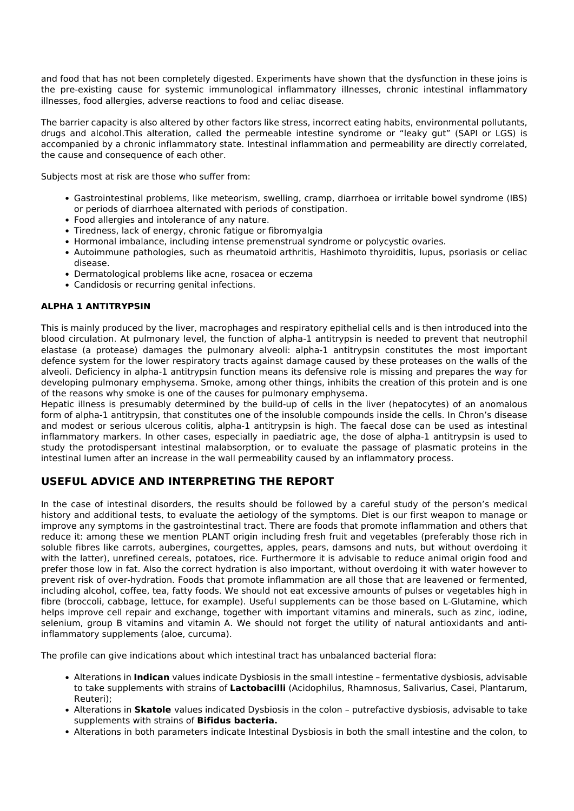and food that has not been completely digested. Experiments have shown that the dysfunction in these joins is the pre-existing cause for systemic immunological inflammatory illnesses, chronic intestinal inflammatory illnesses, food allergies, adverse reactions to food and celiac disease.

The barrier capacity is also altered by other factors like stress, incorrect eating habits, environmental pollutants, drugs and alcohol.This alteration, called the permeable intestine syndrome or "leaky gut" (SAPI or LGS) is accompanied by a chronic inflammatory state. Intestinal inflammation and permeability are directly correlated, the cause and consequence of each other.

Subjects most at risk are those who suffer from:

- Gastrointestinal problems, like meteorism, swelling, cramp, diarrhoea or irritable bowel syndrome (IBS) or periods of diarrhoea alternated with periods of constipation.
- Food allergies and intolerance of any nature.
- Tiredness, lack of energy, chronic fatigue or fibromyalgia
- Hormonal imbalance, including intense premenstrual syndrome or polycystic ovaries.
- Autoimmune pathologies, such as rheumatoid arthritis, Hashimoto thyroiditis, lupus, psoriasis or celiac disease.
- Dermatological problems like acne, rosacea or eczema
- Candidosis or recurring genital infections.

#### **ALPHA 1 ANTITRYPSIN**

This is mainly produced by the liver, macrophages and respiratory epithelial cells and is then introduced into the blood circulation. At pulmonary level, the function of alpha-1 antitrypsin is needed to prevent that neutrophil elastase (a protease) damages the pulmonary alveoli: alpha-1 antitrypsin constitutes the most important defence system for the lower respiratory tracts against damage caused by these proteases on the walls of the alveoli. Deficiency in alpha-1 antitrypsin function means its defensive role is missing and prepares the way for developing pulmonary emphysema. Smoke, among other things, inhibits the creation of this protein and is one of the reasons why smoke is one of the causes for pulmonary emphysema.

Hepatic illness is presumably determined by the build-up of cells in the liver (hepatocytes) of an anomalous form of alpha-1 antitrypsin, that constitutes one of the insoluble compounds inside the cells. In Chron's disease and modest or serious ulcerous colitis, alpha-1 antitrypsin is high. The faecal dose can be used as intestinal inflammatory markers. In other cases, especially in paediatric age, the dose of alpha-1 antitrypsin is used to study the protodispersant intestinal malabsorption, or to evaluate the passage of plasmatic proteins in the intestinal lumen after an increase in the wall permeability caused by an inflammatory process.

## **USEFUL ADVICE AND INTERPRETING THE REPORT**

In the case of intestinal disorders, the results should be followed by a careful study of the person's medical history and additional tests, to evaluate the aetiology of the symptoms. Diet is our first weapon to manage or improve any symptoms in the gastrointestinal tract. There are foods that promote inflammation and others that reduce it: among these we mention PLANT origin including fresh fruit and vegetables (preferably those rich in soluble fibres like carrots, aubergines, courgettes, apples, pears, damsons and nuts, but without overdoing it with the latter), unrefined cereals, potatoes, rice. Furthermore it is advisable to reduce animal origin food and prefer those low in fat. Also the correct hydration is also important, without overdoing it with water however to prevent risk of over-hydration. Foods that promote inflammation are all those that are leavened or fermented, including alcohol, coffee, tea, fatty foods. We should not eat excessive amounts of pulses or vegetables high in fibre (broccoli, cabbage, lettuce, for example). Useful supplements can be those based on L-Glutamine, which helps improve cell repair and exchange, together with important vitamins and minerals, such as zinc, iodine, selenium, group B vitamins and vitamin A. We should not forget the utility of natural antioxidants and antiinflammatory supplements (aloe, curcuma).

The profile can give indications about which intestinal tract has unbalanced bacterial flora:

- Alterations in **Indican** values indicate Dysbiosis in the small intestine fermentative dysbiosis, advisable to take supplements with strains of **Lactobacilli** (Acidophilus, Rhamnosus, Salivarius, Casei, Plantarum, Reuteri);
- Alterations in **Skatole** values indicated Dysbiosis in the colon putrefactive dysbiosis, advisable to take supplements with strains of **Bifidus bacteria.**
- Alterations in both parameters indicate Intestinal Dysbiosis in both the small intestine and the colon, to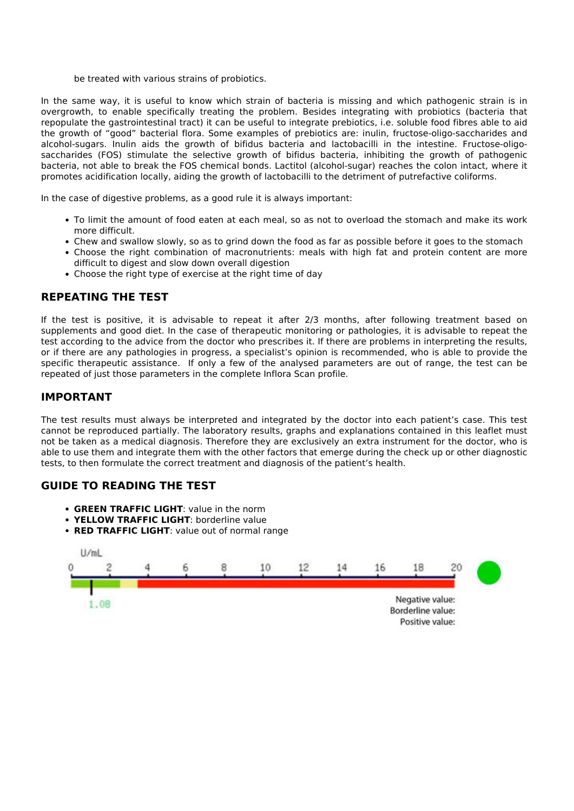be treated with various strains of probiotics.

In the same way, it is useful to know which strain of bacteria is missing and which pathogenic strain is in overgrowth, to enable specifically treating the problem. Besides integrating with probiotics (bacteria that repopulate the gastrointestinal tract) it can be useful to integrate prebiotics, i.e. soluble food fibres able to aid the growth of "good" bacterial flora. Some examples of prebiotics are: inulin, fructose-oligo-saccharides and alcohol-sugars. Inulin aids the growth of bifidus bacteria and lactobacilli in the intestine. Fructose-oligosaccharides (FOS) stimulate the selective growth of bifidus bacteria, inhibiting the growth of pathogenic bacteria, not able to break the FOS chemical bonds. Lactitol (alcohol-sugar) reaches the colon intact, where it promotes acidification locally, aiding the growth of lactobacilli to the detriment of putrefactive coliforms.

In the case of digestive problems, as a good rule it is always important:

- To limit the amount of food eaten at each meal, so as not to overload the stomach and make its work more difficult.
- Chew and swallow slowly, so as to grind down the food as far as possible before it goes to the stomach
- Choose the right combination of macronutrients: meals with high fat and protein content are more difficult to digest and slow down overall digestion
- Choose the right type of exercise at the right time of day

## **REPEATING THE TEST**

If the test is positive, it is advisable to repeat it after 2/3 months, after following treatment based on supplements and good diet. In the case of therapeutic monitoring or pathologies, it is advisable to repeat the test according to the advice from the doctor who prescribes it. If there are problems in interpreting the results, or if there are any pathologies in progress, a specialist's opinion is recommended, who is able to provide the specific therapeutic assistance. If only a few of the analysed parameters are out of range, the test can be repeated of just those parameters in the complete Inflora Scan profile.

## **IMPORTANT**

The test results must always be interpreted and integrated by the doctor into each patient's case. This test cannot be reproduced partially. The laboratory results, graphs and explanations contained in this leaflet must not be taken as a medical diagnosis. Therefore they are exclusively an extra instrument for the doctor, who is able to use them and integrate them with the other factors that emerge during the check up or other diagnostic tests, to then formulate the correct treatment and diagnosis of the patient's health.

## **GUIDE TO READING THE TEST**

- **GREEN TRAFFIC LIGHT**: value in the norm
- **YELLOW TRAFFIC LIGHT**: borderline value
- **RED TRAFFIC LIGHT**: value out of normal range

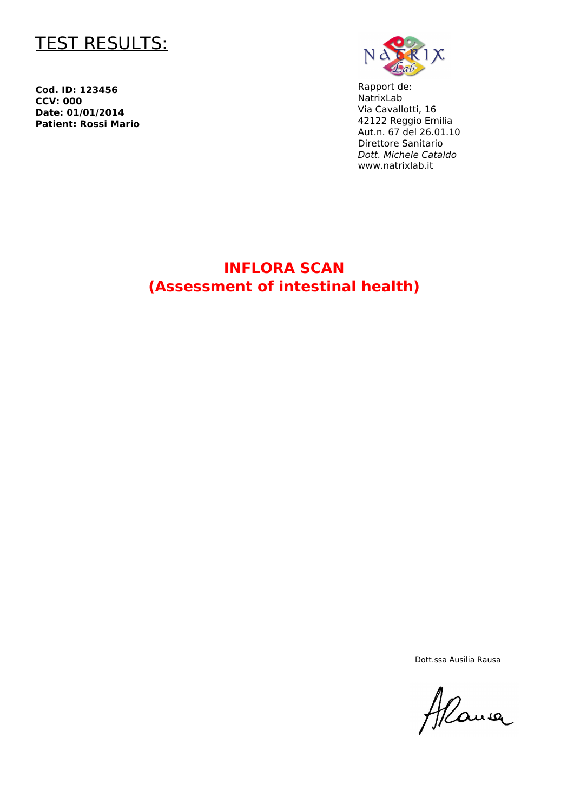

**Cod. ID: 123456 CCV: 000 Date: 01/01/2014 Patient: Rossi Mario**



Rapport de: NatrixLab Via Cavallotti, 16 42122 Reggio Emilia Aut.n. 67 del 26.01.10 Direttore Sanitario *Dott. Michele Cataldo* www.natrixlab.it

## **INFLORA SCAN (Assessment of intestinal health)**

Dott.ssa Ausilia Rausa

Alane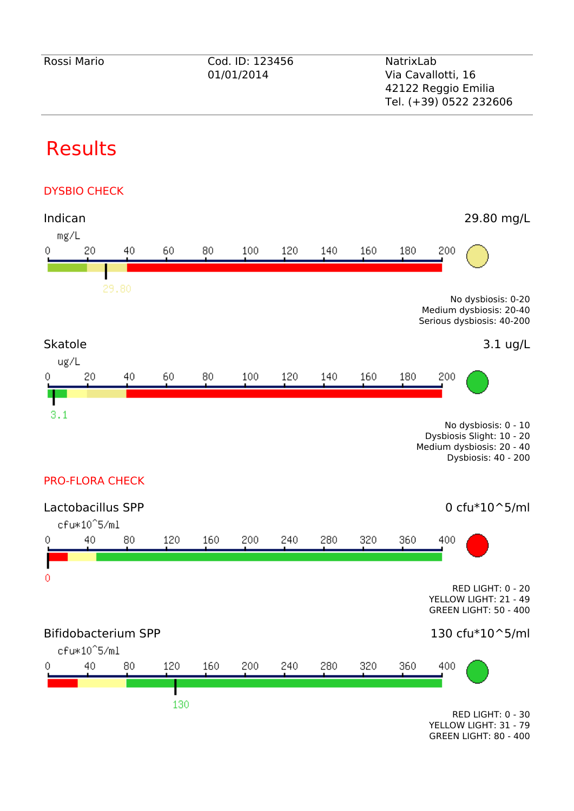# Results





GREEN LIGHT: 80 - 400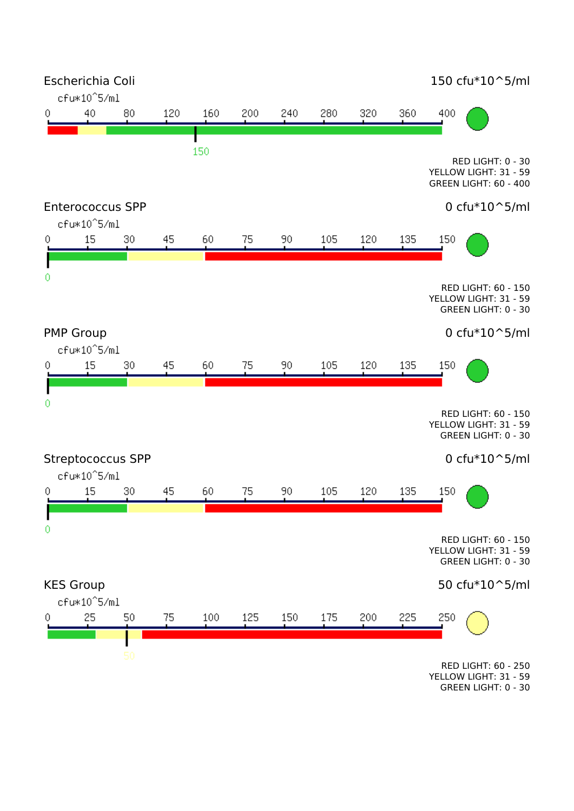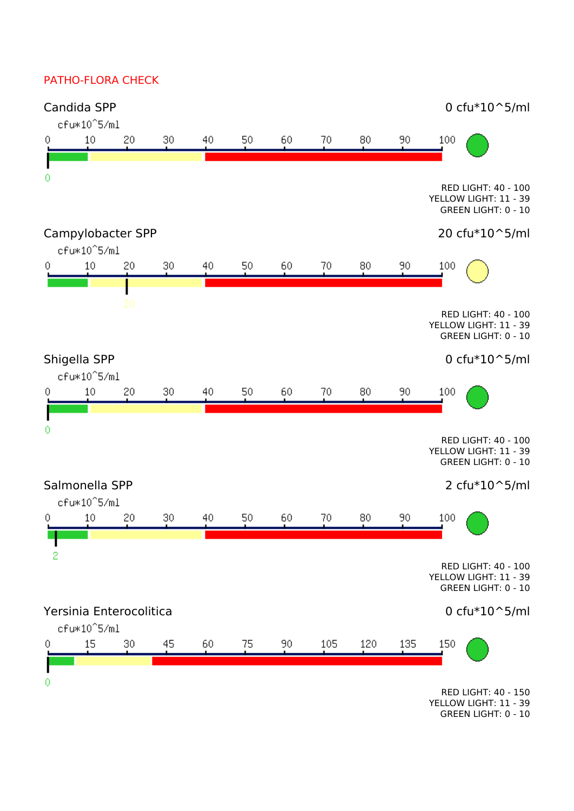## PATHO-FLORA CHECK



YELLOW LIGHT: 11 - 39 GREEN LIGHT: 0 - 10